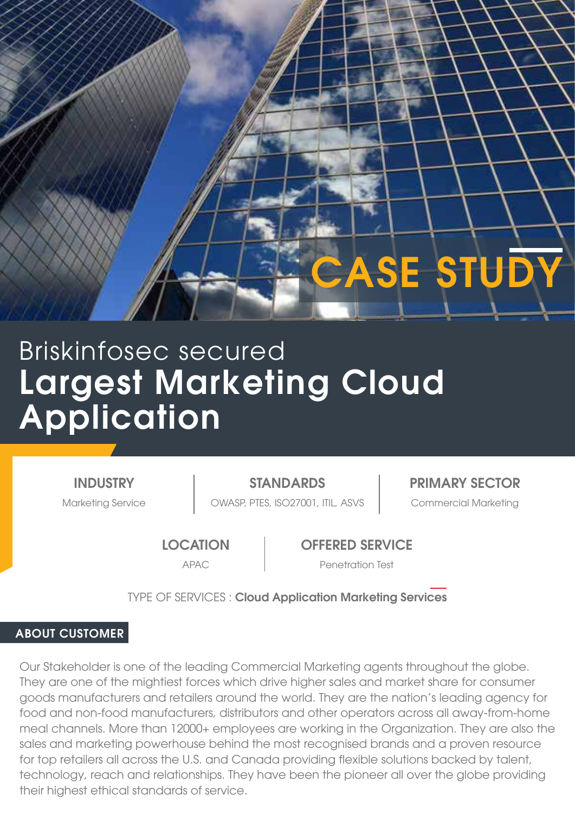

# Largest Marketing Cloud Application Briskinfosec secured

INDUSTRY

Marketing Service | OWASP, PTES, ISO27001, ITIL, ASVS | Commercial Marketing STANDARDS PRIMARY SECTOR

**LOCATION** 

OFFERED SERVICE

APAC Penetration Test

TYPE OF SERVICES : Cloud Application Marketing Services

# ABOUT CUSTOMER

Our Stakeholder is one of the leading Commercial Marketing agents throughout the globe. They are one of the mightiest forces which drive higher sales and market share for consumer goods manufacturers and retailers around the world. They are the nation's leading agency for food and non-food manufacturers, distributors and other operators across all away-from-home meal channels. More than 12000+ employees are working in the Organization. They are also the sales and marketing powerhouse behind the most recognised brands and a proven resource for top retailers all across the U.S. and Canada providing flexible solutions backed by talent, technology, reach and relationships. They have been the pioneer all over the globe providing their highest ethical standards of service.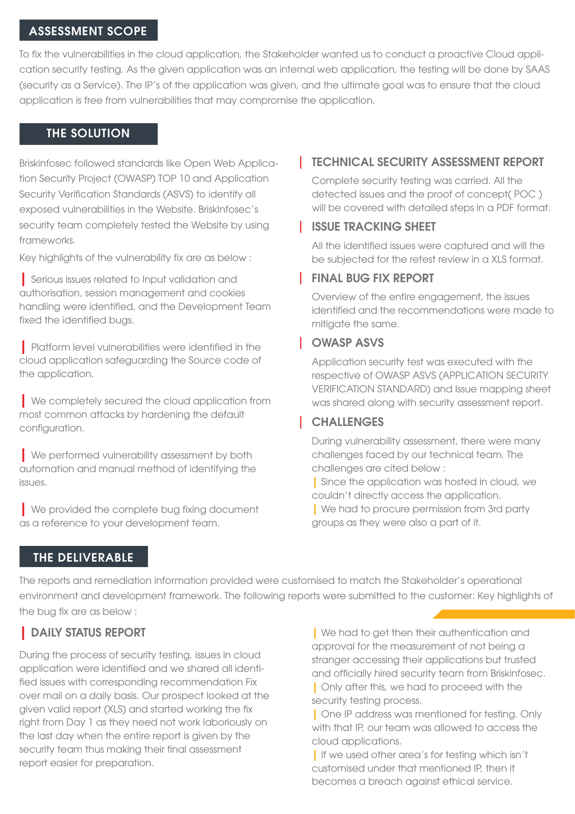#### ASSESSMENT SCOPE

To fix the vulnerabilities in the cloud application, the Stakeholder wanted us to conduct a proactive Cloud application security testing. As the given application was an internal web application, the testing will be done by SAAS (security as a Service). The IP's of the application was given, and the ultimate goal was to ensure that the cloud application is free from vulnerabilities that may compromise the application.

#### THE SOLUTION

Briskinfosec followed standards like Open Web Application Security Project (OWASP) TOP 10 and Application Security Verification Standards (ASVS) to identify all exposed vulnerabilities in the Website. BriskInfosec's security team completely tested the Website by using frameworks.

Key highlights of the vulnerability fix are as below :

| Serious issues related to Input validation and authorisation, session management and cookies handling were identified, and the Development Team fixed the identified bugs.

| Platform level vulnerabilities were identified in the cloud application safeguarding the Source code of the application.

| We completely secured the cloud application from most common attacks by hardening the default configuration.

**Ne performed vulnerability assessment by both** automation and manual method of identifying the issues.

| We provided the complete bug fixing document as a reference to your development team.

## TECHNICAL SECURITY ASSESSMENT REPORT

Complete security testing was carried. All the detected issues and the proof of concept( POC ) will be covered with detailed steps in a PDF format.

#### ISSUE TRACKING SHEET

All the identified issues were captured and will the be subjected for the retest review in a XLS format.

#### FINAL BUG FIX REPORT

Overview of the entire engagement, the issues identified and the recommendations were made to mitigate the same.

#### OWASP ASVS

Application security test was executed with the respective of OWASP ASVS (APPLICATION SECURITY VERIFICATION STANDARD) and Issue mapping sheet was shared along with security assessment report.

## **CHALLENGES**

During vulnerability assessment, there were many challenges faced by our technical team. The challenges are cited below :

| Since the application was hosted in cloud, we couldn't directly access the application.

| We had to procure permission from 3rd party groups as they were also a part of it.

## THE DELIVERABLE

The reports and remediation information provided were customised to match the Stakeholder's operational environment and development framework. The following reports were submitted to the customer: Key highlights of the bug fix are as below :

# | DAILY STATUS REPORT

During the process of security testing, issues in cloud application were identified and we shared all identified issues with corresponding recommendation Fix over mail on a daily basis. Our prospect looked at the given valid report (XLS) and started working the fix right from Day 1 as they need not work laboriously on the last day when the entire report is given by the security team thus making their final assessment report easier for preparation.

| We had to get then their authentication and approval for the measurement of not being a stranger accessing their applications but trusted and officially hired security team from Briskinfosec. | Only after this, we had to proceed with the security testing process.

| One IP address was mentioned for testing. Only with that IP, our team was allowed to access the cloud applications.

| If we used other area's for testing which isn't customised under that mentioned IP, then it becomes a breach against ethical service.